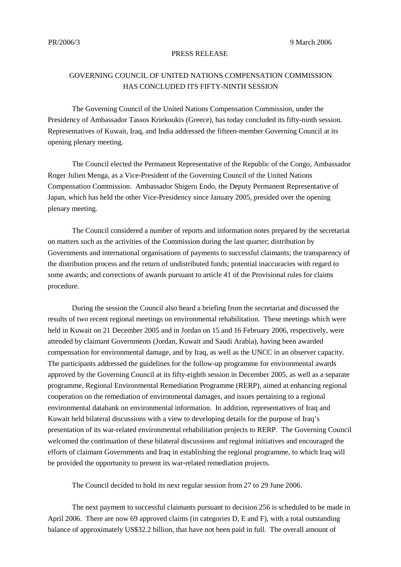## PRESS RELEASE

## GOVERNING COUNCIL OF UNITED NATIONS COMPENSATION COMMISSION HAS CONCLUDED ITS FIFTY-NINTH SESSION

The Governing Council of the United Nations Compensation Commission, under the Presidency of Ambassador Tassos Kriekoukis (Greece), has today concluded its fifty-ninth session. Representatives of Kuwait, Iraq, and India addressed the fifteen-member Governing Council at its opening plenary meeting.

The Council elected the Permanent Representative of the Republic of the Congo, Ambassador Roger Julien Menga, as a Vice-President of the Governing Council of the United Nations Compensation Commission. Ambassador Shigeru Endo, the Deputy Permanent Representative of Japan, which has held the other Vice-Presidency since January 2005, presided over the opening plenary meeting.

The Council considered a number of reports and information notes prepared by the secretariat on matters such as the activities of the Commission during the last quarter; distribution by Governments and international organisations of payments to successful claimants; the transparency of the distribution process and the return of undistributed funds; potential inaccuracies with regard to some awards; and corrections of awards pursuant to article 41 of the Provisional rules for claims procedure.

During the session the Council also heard a briefing from the secretariat and discussed the results of two recent regional meetings on environmental rehabilitation. These meetings which were held in Kuwait on 21 December 2005 and in Jordan on 15 and 16 February 2006, respectively, were attended by claimant Governments (Jordan, Kuwait and Saudi Arabia), having been awarded compensation for environmental damage, and by Iraq, as well as the UNCC in an observer capacity. The participants addressed the guidelines for the follow-up programme for environmental awards approved by the Governing Council at its fifty-eighth session in December 2005, as well as a separate programme, Regional Environmental Remediation Programme (RERP), aimed at enhancing regional cooperation on the remediation of environmental damages, and issues pertaining to a regional environmental databank on environmental information. In addition, representatives of Iraq and Kuwait held bilateral discussions with a view to developing details for the purpose of Iraq's presentation of its war-related environmental rehabilitation projects to RERP. The Governing Council welcomed the continuation of these bilateral discussions and regional initiatives and encouraged the efforts of claimant Governments and Iraq in establishing the regional programme, to which Iraq will be provided the opportunity to present its war-related remediation projects.

The Council decided to hold its next regular session from 27 to 29 June 2006.

The next payment to successful claimants pursuant to decision 256 is scheduled to be made in April 2006. There are now 69 approved claims (in categories D, E and F), with a total outstanding balance of approximately US\$32.2 billion, that have not been paid in full. The overall amount of